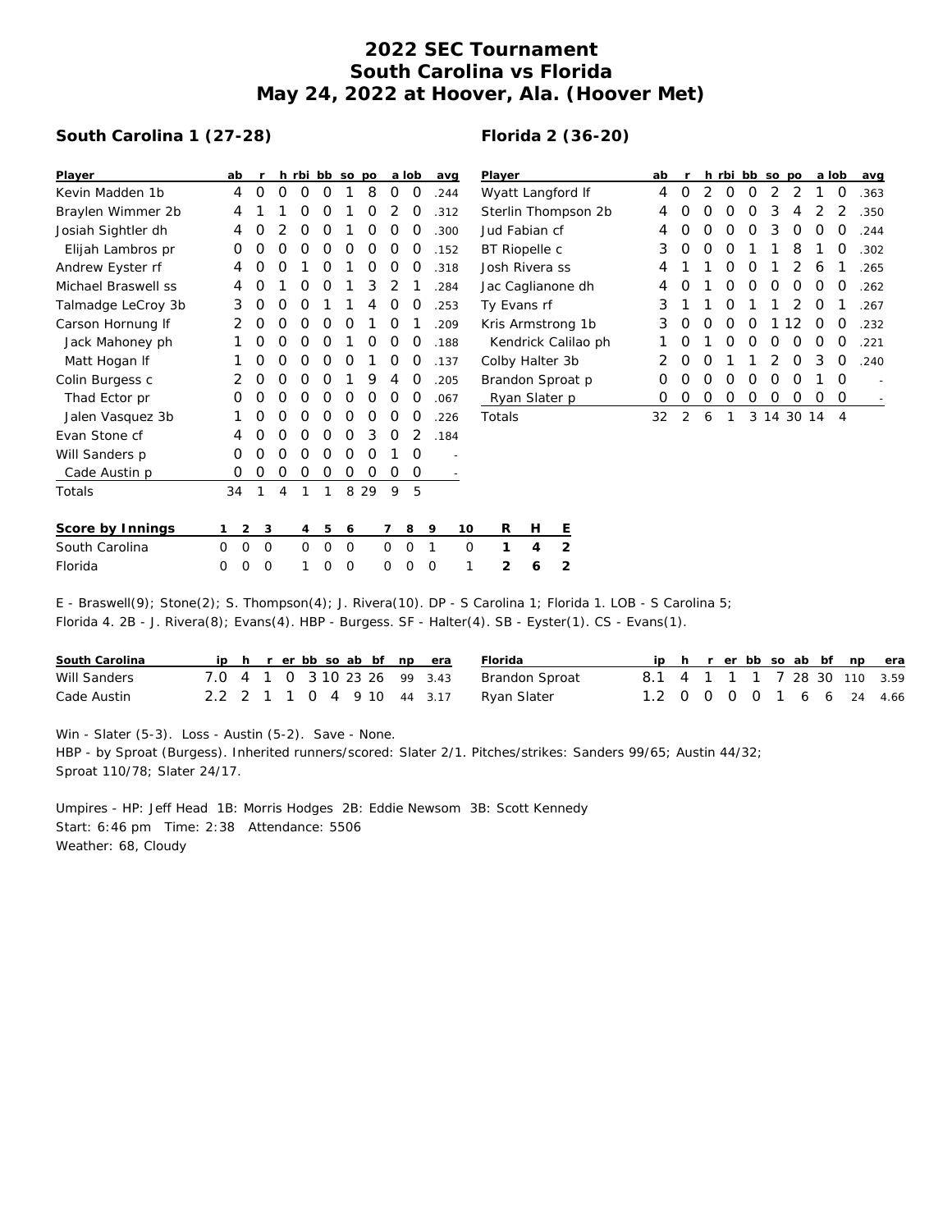## **2022 SEC Tournament South Carolina vs Florida May 24, 2022 at Hoover, Ala. (Hoover Met)**

## **South Carolina 1 (27-28)**

## **Florida 2 (36-20)**

| Player              | ab             |              |          |          |             | h rbi bb so po |          |          | a lob       | avg  |             | Player              | ab |   |          |                | h rbi bb so po |   |            | a lob    |                | avg  |
|---------------------|----------------|--------------|----------|----------|-------------|----------------|----------|----------|-------------|------|-------------|---------------------|----|---|----------|----------------|----------------|---|------------|----------|----------------|------|
| Kevin Madden 1b     | 4              | 0            | O        | 0        | 0           |                | 8        | 0        | 0           | .244 |             | Wyatt Langford If   | 4  | O | 2        | O              | 0              | 2 | 2          |          | 0              | .363 |
| Braylen Wimmer 2b   | 4              |              |          | 0        | 0           |                | 0        | 2        | 0           | .312 |             | Sterlin Thompson 2b | 4  | O | O        | O              | O              | 3 | 4          |          |                | .350 |
| Josiah Sightler dh  | 4              | O            |          | 0        | 0           |                | O        | 0        | O           | .300 |             | Jud Fabian cf       | 4  | O | O        | O              | O              | 3 | $\Omega$   | O        | O              | .244 |
| Elijah Lambros pr   | 0              | 0            | O        | 0        | 0           | 0              | 0        | 0        | O           | .152 |             | BT Riopelle c       | 3  | 0 | $\Omega$ | O              |                |   | 8          |          | O              | .302 |
| Andrew Eyster rf    | 4              | 0            | 0        |          | 0           |                | 0        | 0        | 0           | .318 |             | Josh Rivera ss      | 4  |   |          | 0              | 0              |   | 2          | 6        |                | .265 |
| Michael Braswell ss | 4              | 0            |          | 0        | 0           |                | 3        | 2        |             | .284 |             | Jac Caglianone dh   | 4  | O |          | O              | O              | O | O          | O        | O              | .262 |
| Talmadge LeCroy 3b  | 3              | 0            | O        | 0        |             |                |          | 0        | 0           | .253 |             | Ty Evans rf         | 3  |   |          | O              |                |   |            | O        |                | .267 |
| Carson Hornung If   | 2              | 0            | 0        | 0        | 0           | 0              |          | 0        |             | .209 |             | Kris Armstrong 1b   | 3  | 0 | 0        | 0              | 0              |   | 12         | 0        | O              | .232 |
| Jack Mahoney ph     |                | 0            | 0        | 0        | 0           |                | O        | 0        | 0           | .188 |             | Kendrick Calilao ph |    | 0 |          | 0              | 0              | 0 | $\Omega$   | $\Omega$ | O              | .221 |
| Matt Hogan If       |                | 0            | O        | $\Omega$ | $\Omega$    | O              |          | 0        | $\Omega$    | .137 |             | Colby Halter 3b     | 2  | 0 | O        |                |                |   | $\Omega$   | 3        | $\Omega$       | .240 |
| Colin Burgess c     | 2              | Ο            | O        | 0        | 0           |                | 9        | 4        | 0           | .205 |             | Brandon Sproat p    | O  | O | O        | O              | O              | O | O          |          | $\Omega$       |      |
| Thad Ector pr       | O              | Ο            | O        | 0        | 0           | 0              | 0        | 0        | 0           | .067 |             | Ryan Slater p       | 0  | 0 | 0        | 0              | 0              | 0 | 0          | 0        | $\circ$        |      |
| Jalen Vasquez 3b    |                | O            | 0        | 0        | 0           | 0              | 0        | $\Omega$ | O           | .226 |             | Totals              | 32 | 2 | 6        | $\overline{1}$ |                |   | 3 14 30 14 |          | $\overline{4}$ |      |
| Evan Stone cf       |                | Ο            | Ο        | 0        | O           | O              | 3        | 0        | 2           | .184 |             |                     |    |   |          |                |                |   |            |          |                |      |
| Will Sanders p      | 0              | 0            | $\Omega$ | 0        | 0           | 0              | $\Omega$ |          | O           |      |             |                     |    |   |          |                |                |   |            |          |                |      |
| Cade Austin p       | 0              | 0            | 0        | 0        | 0           | 0              | 0        | 0        | 0           |      |             |                     |    |   |          |                |                |   |            |          |                |      |
| Totals              | 34             |              | 4        |          |             |                | 8 2 9    | 9        | 5           |      |             |                     |    |   |          |                |                |   |            |          |                |      |
|                     |                |              |          |          |             |                |          |          |             |      |             |                     |    |   |          |                |                |   |            |          |                |      |
| Score by Innings    | $\overline{2}$ | $\mathbf{3}$ |          | 4        | 5           | 6              |          |          | 8           | 9    | 10          | R<br>Н<br>트         |    |   |          |                |                |   |            |          |                |      |
| South Carolina      | 0<br>0         | $\mathbf 0$  |          | 0        | $\mathbf 0$ | $\mathbf 0$    |          | $\circ$  | $\mathbf 0$ | 1    | $\mathbf 0$ | 2<br>1<br>4         |    |   |          |                |                |   |            |          |                |      |
| Florida             | 0<br>0         | 0            |          |          | Ω           | $\circ$        |          | 0        | 0           | O    |             | 2<br>2<br>6         |    |   |          |                |                |   |            |          |                |      |

E - Braswell(9); Stone(2); S. Thompson(4); J. Rivera(10). DP - S Carolina 1; Florida 1. LOB - S Carolina 5; Florida 4. 2B - J. Rivera(8); Evans(4). HBP - Burgess. SF - Halter(4). SB - Eyster(1). CS - Evans(1).

| South Carolina |  |  |  |  | ip h r er bb so ab bf np era | Florida                                |                              |  |  |  |  | ip h r er bb so ab bf np era |
|----------------|--|--|--|--|------------------------------|----------------------------------------|------------------------------|--|--|--|--|------------------------------|
| Will Sanders   |  |  |  |  | 7.0 4 1 0 3 10 23 26 99 3.43 | Brandon Sproat                         | 8.1 4 1 1 1 7 28 30 110 3.59 |  |  |  |  |                              |
| Cade Austin    |  |  |  |  |                              | 2.2 2 1 1 0 4 9 10 44 3.17 Ryan Slater | 1.2 0 0 0 0 1 6 6 24 4.66    |  |  |  |  |                              |

Win - Slater (5-3). Loss - Austin (5-2). Save - None. HBP - by Sproat (Burgess). Inherited runners/scored: Slater 2/1. Pitches/strikes: Sanders 99/65; Austin 44/32; Sproat 110/78; Slater 24/17.

Umpires - HP: Jeff Head 1B: Morris Hodges 2B: Eddie Newsom 3B: Scott Kennedy Start: 6:46 pm Time: 2:38 Attendance: 5506 Weather: 68, Cloudy